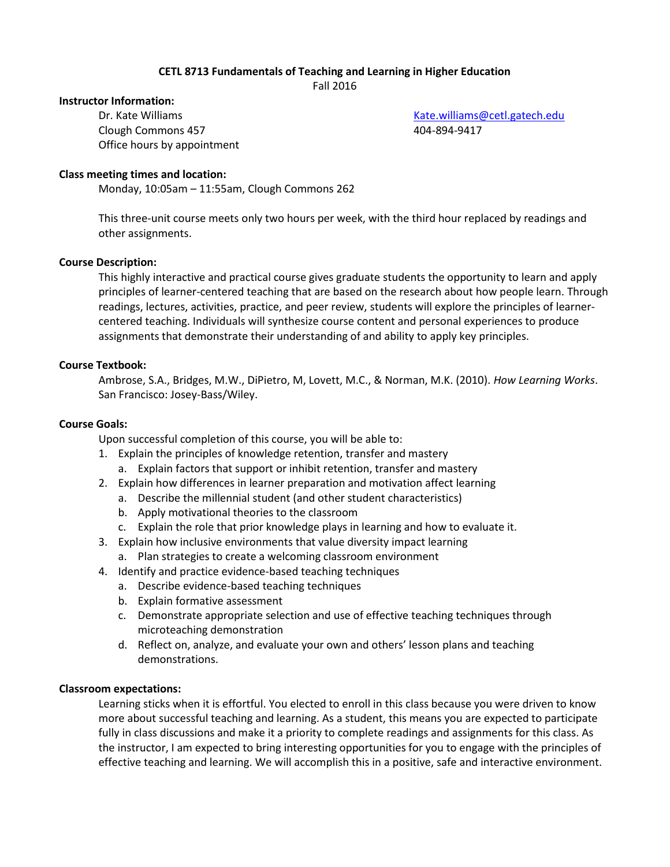# **CETL 8713 Fundamentals of Teaching and Learning in Higher Education**

Fall 2016

#### **Instructor Information:**

Clough Commons 457 404-894-9417 Office hours by appointment

Dr. Kate Williams [Kate.williams@cetl.gatech.edu](mailto:Kate.williams@cetl.gatech.edu)

### **Class meeting times and location:**

Monday, 10:05am – 11:55am, Clough Commons 262

This three-unit course meets only two hours per week, with the third hour replaced by readings and other assignments.

#### **Course Description:**

This highly interactive and practical course gives graduate students the opportunity to learn and apply principles of learner-centered teaching that are based on the research about how people learn. Through readings, lectures, activities, practice, and peer review, students will explore the principles of learnercentered teaching. Individuals will synthesize course content and personal experiences to produce assignments that demonstrate their understanding of and ability to apply key principles.

#### **Course Textbook:**

Ambrose, S.A., Bridges, M.W., DiPietro, M, Lovett, M.C., & Norman, M.K. (2010). *How Learning Works*. San Francisco: Josey-Bass/Wiley.

#### **Course Goals:**

Upon successful completion of this course, you will be able to:

- 1. Explain the principles of knowledge retention, transfer and mastery
	- a. Explain factors that support or inhibit retention, transfer and mastery
- 2. Explain how differences in learner preparation and motivation affect learning
	- a. Describe the millennial student (and other student characteristics)
	- b. Apply motivational theories to the classroom
	- c. Explain the role that prior knowledge plays in learning and how to evaluate it.
- 3. Explain how inclusive environments that value diversity impact learning
	- a. Plan strategies to create a welcoming classroom environment
- 4. Identify and practice evidence-based teaching techniques
	- a. Describe evidence-based teaching techniques
	- b. Explain formative assessment
	- c. Demonstrate appropriate selection and use of effective teaching techniques through microteaching demonstration
	- d. Reflect on, analyze, and evaluate your own and others' lesson plans and teaching demonstrations.

#### **Classroom expectations:**

Learning sticks when it is effortful. You elected to enroll in this class because you were driven to know more about successful teaching and learning. As a student, this means you are expected to participate fully in class discussions and make it a priority to complete readings and assignments for this class. As the instructor, I am expected to bring interesting opportunities for you to engage with the principles of effective teaching and learning. We will accomplish this in a positive, safe and interactive environment.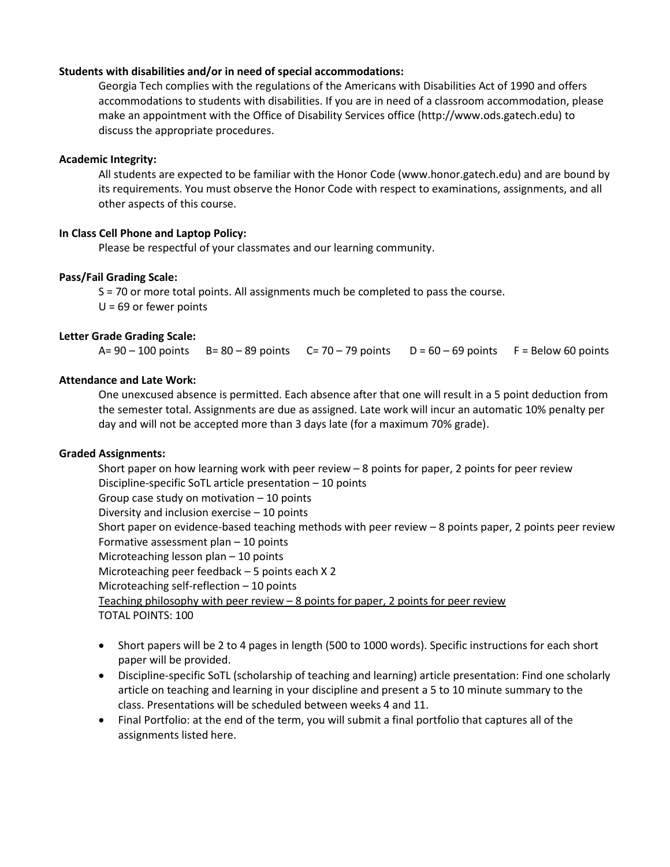### **Students with disabilities and/or in need of special accommodations:**

Georgia Tech complies with the regulations of the Americans with Disabilities Act of 1990 and offers accommodations to students with disabilities. If you are in need of a classroom accommodation, please make an appointment with the Office of Disability Services office (http://www.ods.gatech.edu) to discuss the appropriate procedures.

## **Academic Integrity:**

All students are expected to be familiar with the Honor Code (www.honor.gatech.edu) and are bound by its requirements. You must observe the Honor Code with respect to examinations, assignments, and all other aspects of this course.

### **In Class Cell Phone and Laptop Policy:**

Please be respectful of your classmates and our learning community.

### **Pass/Fail Grading Scale:**

S = 70 or more total points. All assignments much be completed to pass the course.  $U = 69$  or fewer points

### **Letter Grade Grading Scale:**

 $A= 90 - 100$  points  $B= 80 - 89$  points  $C= 70 - 79$  points  $D = 60 - 69$  points  $F =$  Below 60 points

# **Attendance and Late Work:**

One unexcused absence is permitted. Each absence after that one will result in a 5 point deduction from the semester total. Assignments are due as assigned. Late work will incur an automatic 10% penalty per day and will not be accepted more than 3 days late (for a maximum 70% grade).

#### **Graded Assignments:**

Short paper on how learning work with peer review – 8 points for paper, 2 points for peer review Discipline-specific SoTL article presentation – 10 points Group case study on motivation – 10 points Diversity and inclusion exercise – 10 points Short paper on evidence-based teaching methods with peer review – 8 points paper, 2 points peer review Formative assessment plan – 10 points Microteaching lesson plan – 10 points Microteaching peer feedback – 5 points each X 2 Microteaching self-reflection – 10 points Teaching philosophy with peer review – 8 points for paper, 2 points for peer review TOTAL POINTS: 100

- Short papers will be 2 to 4 pages in length (500 to 1000 words). Specific instructions for each short paper will be provided.
- Discipline-specific SoTL (scholarship of teaching and learning) article presentation: Find one scholarly article on teaching and learning in your discipline and present a 5 to 10 minute summary to the class. Presentations will be scheduled between weeks 4 and 11.
- Final Portfolio: at the end of the term, you will submit a final portfolio that captures all of the assignments listed here.